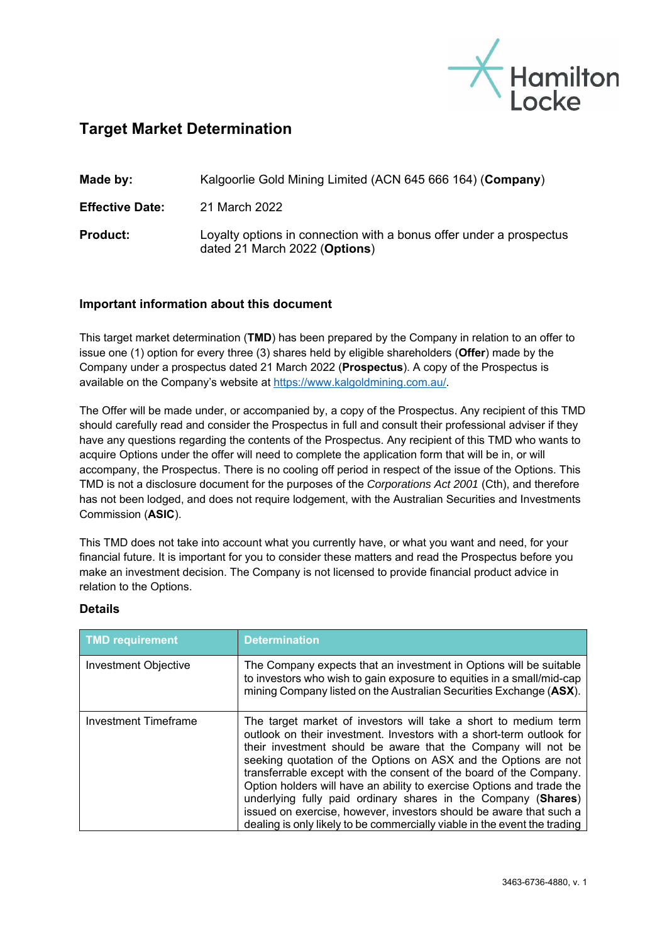

## **Target Market Determination**

| Made by:               | Kalgoorlie Gold Mining Limited (ACN 645 666 164) (Company)                                           |
|------------------------|------------------------------------------------------------------------------------------------------|
| <b>Effective Date:</b> | 21 March 2022                                                                                        |
| <b>Product:</b>        | Loyalty options in connection with a bonus offer under a prospectus<br>dated 21 March 2022 (Options) |

## **Important information about this document**

This target market determination (**TMD**) has been prepared by the Company in relation to an offer to issue one (1) option for every three (3) shares held by eligible shareholders (**Offer**) made by the Company under a prospectus dated 21 March 2022 (**Prospectus**). A copy of the Prospectus is available on the Company's website at https://www.kalgoldmining.com.au/.

The Offer will be made under, or accompanied by, a copy of the Prospectus. Any recipient of this TMD should carefully read and consider the Prospectus in full and consult their professional adviser if they have any questions regarding the contents of the Prospectus. Any recipient of this TMD who wants to acquire Options under the offer will need to complete the application form that will be in, or will accompany, the Prospectus. There is no cooling off period in respect of the issue of the Options. This TMD is not a disclosure document for the purposes of the *Corporations Act 2001* (Cth), and therefore has not been lodged, and does not require lodgement, with the Australian Securities and Investments Commission (**ASIC**).

This TMD does not take into account what you currently have, or what you want and need, for your financial future. It is important for you to consider these matters and read the Prospectus before you make an investment decision. The Company is not licensed to provide financial product advice in relation to the Options.

## **Details**

| <b>TMD requirement</b>      | <b>Determination</b>                                                                                                                                                                                                                                                                                                                                                                                                                                                                                                                                                                                                                           |
|-----------------------------|------------------------------------------------------------------------------------------------------------------------------------------------------------------------------------------------------------------------------------------------------------------------------------------------------------------------------------------------------------------------------------------------------------------------------------------------------------------------------------------------------------------------------------------------------------------------------------------------------------------------------------------------|
| <b>Investment Objective</b> | The Company expects that an investment in Options will be suitable<br>to investors who wish to gain exposure to equities in a small/mid-cap<br>mining Company listed on the Australian Securities Exchange (ASX).                                                                                                                                                                                                                                                                                                                                                                                                                              |
| Investment Timeframe        | The target market of investors will take a short to medium term<br>outlook on their investment. Investors with a short-term outlook for<br>their investment should be aware that the Company will not be<br>seeking quotation of the Options on ASX and the Options are not<br>transferrable except with the consent of the board of the Company.<br>Option holders will have an ability to exercise Options and trade the<br>underlying fully paid ordinary shares in the Company (Shares)<br>issued on exercise, however, investors should be aware that such a<br>dealing is only likely to be commercially viable in the event the trading |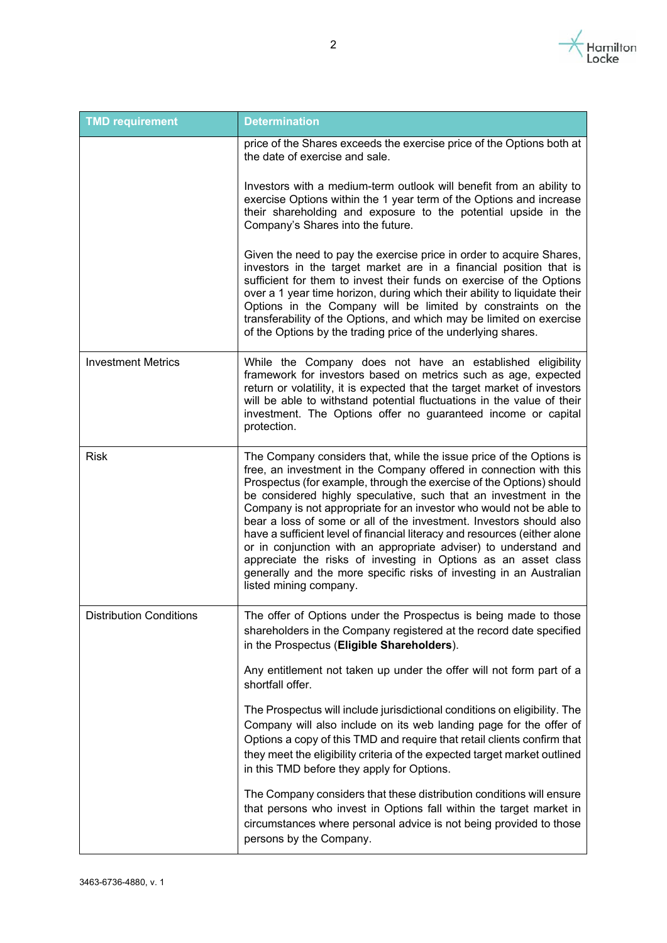

| <b>TMD requirement</b>         | <b>Determination</b>                                                                                                                                                                                                                                                                                                                                                                                                                                                                                                                                                                                                                                                                                                                                    |
|--------------------------------|---------------------------------------------------------------------------------------------------------------------------------------------------------------------------------------------------------------------------------------------------------------------------------------------------------------------------------------------------------------------------------------------------------------------------------------------------------------------------------------------------------------------------------------------------------------------------------------------------------------------------------------------------------------------------------------------------------------------------------------------------------|
|                                | price of the Shares exceeds the exercise price of the Options both at<br>the date of exercise and sale.                                                                                                                                                                                                                                                                                                                                                                                                                                                                                                                                                                                                                                                 |
|                                | Investors with a medium-term outlook will benefit from an ability to<br>exercise Options within the 1 year term of the Options and increase<br>their shareholding and exposure to the potential upside in the<br>Company's Shares into the future.                                                                                                                                                                                                                                                                                                                                                                                                                                                                                                      |
|                                | Given the need to pay the exercise price in order to acquire Shares,<br>investors in the target market are in a financial position that is<br>sufficient for them to invest their funds on exercise of the Options<br>over a 1 year time horizon, during which their ability to liquidate their<br>Options in the Company will be limited by constraints on the<br>transferability of the Options, and which may be limited on exercise<br>of the Options by the trading price of the underlying shares.                                                                                                                                                                                                                                                |
| <b>Investment Metrics</b>      | While the Company does not have an established eligibility<br>framework for investors based on metrics such as age, expected<br>return or volatility, it is expected that the target market of investors<br>will be able to withstand potential fluctuations in the value of their<br>investment. The Options offer no guaranteed income or capital<br>protection.                                                                                                                                                                                                                                                                                                                                                                                      |
| <b>Risk</b>                    | The Company considers that, while the issue price of the Options is<br>free, an investment in the Company offered in connection with this<br>Prospectus (for example, through the exercise of the Options) should<br>be considered highly speculative, such that an investment in the<br>Company is not appropriate for an investor who would not be able to<br>bear a loss of some or all of the investment. Investors should also<br>have a sufficient level of financial literacy and resources (either alone<br>or in conjunction with an appropriate adviser) to understand and<br>appreciate the risks of investing in Options as an asset class<br>generally and the more specific risks of investing in an Australian<br>listed mining company. |
| <b>Distribution Conditions</b> | The offer of Options under the Prospectus is being made to those<br>shareholders in the Company registered at the record date specified<br>in the Prospectus (Eligible Shareholders).                                                                                                                                                                                                                                                                                                                                                                                                                                                                                                                                                                   |
|                                | Any entitlement not taken up under the offer will not form part of a<br>shortfall offer.                                                                                                                                                                                                                                                                                                                                                                                                                                                                                                                                                                                                                                                                |
|                                | The Prospectus will include jurisdictional conditions on eligibility. The<br>Company will also include on its web landing page for the offer of<br>Options a copy of this TMD and require that retail clients confirm that<br>they meet the eligibility criteria of the expected target market outlined<br>in this TMD before they apply for Options.                                                                                                                                                                                                                                                                                                                                                                                                   |
|                                | The Company considers that these distribution conditions will ensure<br>that persons who invest in Options fall within the target market in<br>circumstances where personal advice is not being provided to those<br>persons by the Company.                                                                                                                                                                                                                                                                                                                                                                                                                                                                                                            |

2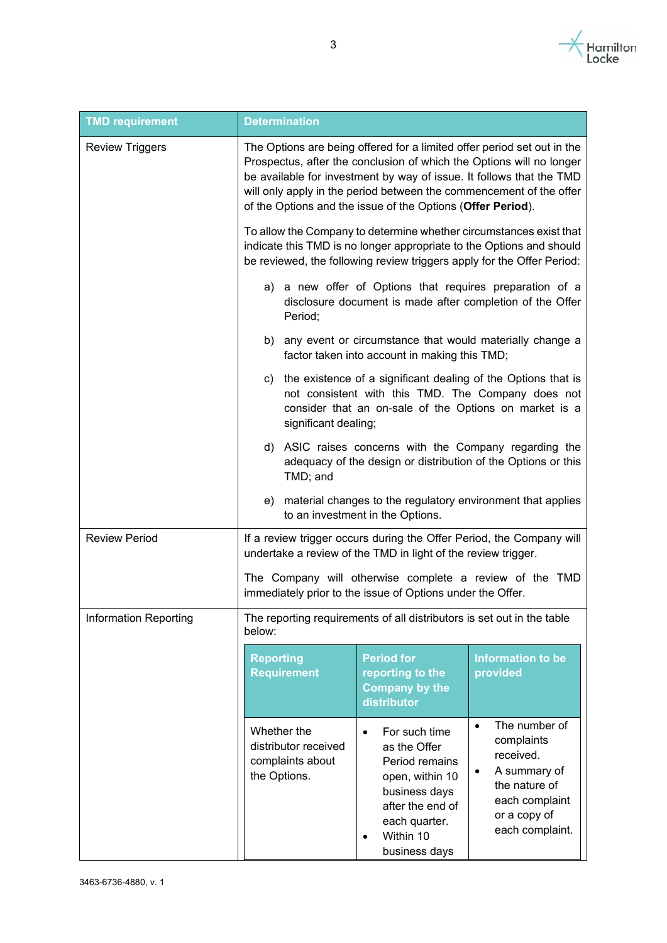

| <b>TMD requirement</b>       | <b>Determination</b>                                                                                                                                                                                                                                                                                                                                          |                                                                                                                                                                                                                                                                                                                    |  |  |
|------------------------------|---------------------------------------------------------------------------------------------------------------------------------------------------------------------------------------------------------------------------------------------------------------------------------------------------------------------------------------------------------------|--------------------------------------------------------------------------------------------------------------------------------------------------------------------------------------------------------------------------------------------------------------------------------------------------------------------|--|--|
| <b>Review Triggers</b>       | The Options are being offered for a limited offer period set out in the<br>Prospectus, after the conclusion of which the Options will no longer<br>be available for investment by way of issue. It follows that the TMD<br>will only apply in the period between the commencement of the offer<br>of the Options and the issue of the Options (Offer Period). |                                                                                                                                                                                                                                                                                                                    |  |  |
|                              | To allow the Company to determine whether circumstances exist that<br>indicate this TMD is no longer appropriate to the Options and should<br>be reviewed, the following review triggers apply for the Offer Period:                                                                                                                                          |                                                                                                                                                                                                                                                                                                                    |  |  |
|                              | a) a new offer of Options that requires preparation of a<br>disclosure document is made after completion of the Offer<br>Period;                                                                                                                                                                                                                              |                                                                                                                                                                                                                                                                                                                    |  |  |
|                              | any event or circumstance that would materially change a<br>b)<br>factor taken into account in making this TMD;                                                                                                                                                                                                                                               |                                                                                                                                                                                                                                                                                                                    |  |  |
|                              | the existence of a significant dealing of the Options that is<br>C)<br>not consistent with this TMD. The Company does not<br>consider that an on-sale of the Options on market is a<br>significant dealing;                                                                                                                                                   |                                                                                                                                                                                                                                                                                                                    |  |  |
|                              | d) ASIC raises concerns with the Company regarding the<br>adequacy of the design or distribution of the Options or this<br>TMD; and                                                                                                                                                                                                                           |                                                                                                                                                                                                                                                                                                                    |  |  |
|                              | material changes to the regulatory environment that applies<br>e)<br>to an investment in the Options.                                                                                                                                                                                                                                                         |                                                                                                                                                                                                                                                                                                                    |  |  |
| <b>Review Period</b>         | If a review trigger occurs during the Offer Period, the Company will<br>undertake a review of the TMD in light of the review trigger.                                                                                                                                                                                                                         |                                                                                                                                                                                                                                                                                                                    |  |  |
|                              | The Company will otherwise complete a review of the TMD<br>immediately prior to the issue of Options under the Offer.                                                                                                                                                                                                                                         |                                                                                                                                                                                                                                                                                                                    |  |  |
| <b>Information Reporting</b> | The reporting requirements of all distributors is set out in the table<br>below:                                                                                                                                                                                                                                                                              |                                                                                                                                                                                                                                                                                                                    |  |  |
|                              | <b>Period for</b><br><b>Reporting</b><br><b>Requirement</b><br>reporting to the<br>distributor                                                                                                                                                                                                                                                                | <b>Information to be</b><br>provided<br><b>Company by the</b>                                                                                                                                                                                                                                                      |  |  |
|                              | Whether the<br>$\bullet$<br>distributor received<br>complaints about<br>the Options.                                                                                                                                                                                                                                                                          | The number of<br>$\bullet$<br>For such time<br>complaints<br>as the Offer<br>received.<br>Period remains<br>A summary of<br>$\bullet$<br>open, within 10<br>the nature of<br>business days<br>each complaint<br>after the end of<br>or a copy of<br>each quarter.<br>each complaint.<br>Within 10<br>business days |  |  |